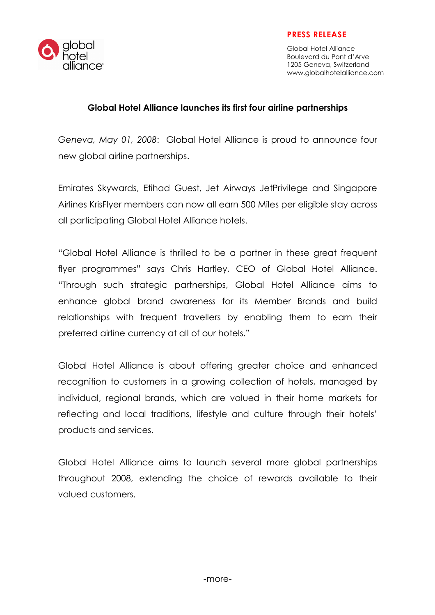### PRESS RELEASE



Global Hotel Alliance Boulevard du Pont d'Arve 1205 Geneva, Switzerland www.globalhotelalliance.com

### Global Hotel Alliance launches its first four airline partnerships

Geneva, May 01, 2008: Global Hotel Alliance is proud to announce four new global airline partnerships.

Emirates Skywards, Etihad Guest, Jet Airways JetPrivilege and Singapore Airlines KrisFlyer members can now all earn 500 Miles per eligible stay across all participating Global Hotel Alliance hotels.

"Global Hotel Alliance is thrilled to be a partner in these great frequent flyer programmes" says Chris Hartley, CEO of Global Hotel Alliance. "Through such strategic partnerships, Global Hotel Alliance aims to enhance global brand awareness for its Member Brands and build relationships with frequent travellers by enabling them to earn their preferred airline currency at all of our hotels."

Global Hotel Alliance is about offering greater choice and enhanced recognition to customers in a growing collection of hotels, managed by individual, regional brands, which are valued in their home markets for reflecting and local traditions, lifestyle and culture through their hotels' products and services.

Global Hotel Alliance aims to launch several more global partnerships throughout 2008, extending the choice of rewards available to their valued customers.